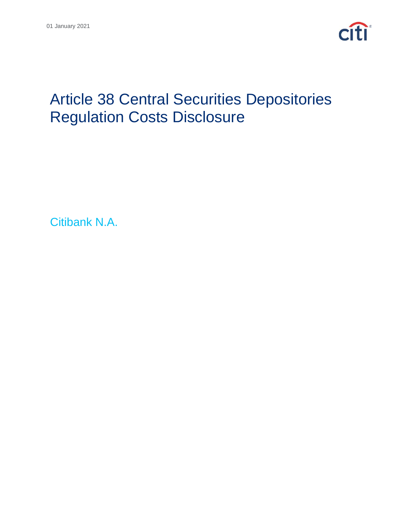

# Article 38 Central Securities Depositories Regulation Costs Disclosure

Citibank N.A.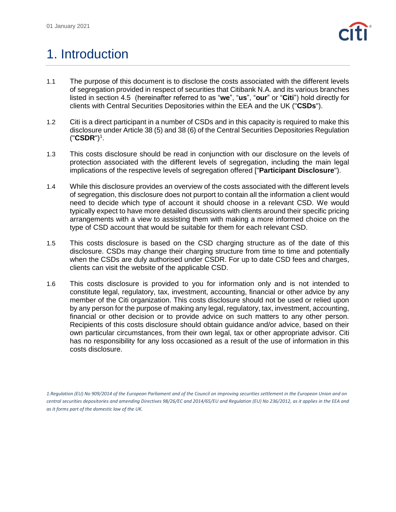

### 1. Introduction

- 1.1 The purpose of this document is to disclose the costs associated with the different levels of segregation provided in respect of securities that Citibank N.A. and its various branches listed in section 4.5 (hereinafter referred to as "**we**", "**us**", "**our**" or "**Citi**") hold directly for clients with Central Securities Depositories within the EEA and the UK ("**CSDs**").
- 1.2 Citi is a direct participant in a number of CSDs and in this capacity is required to make this disclosure under Article 38 (5) and 38 (6) of the Central Securities Depositories Regulation ("**CSDR**") 1 .
- 1.3 This costs disclosure should be read in conjunction with our disclosure on the levels of protection associated with the different levels of segregation, including the main legal implications of the respective levels of segregation offered ["**Participant Disclosure**").
- 1.4 While this disclosure provides an overview of the costs associated with the different levels of segregation, this disclosure does not purport to contain all the information a client would need to decide which type of account it should choose in a relevant CSD. We would typically expect to have more detailed discussions with clients around their specific pricing arrangements with a view to assisting them with making a more informed choice on the type of CSD account that would be suitable for them for each relevant CSD.
- 1.5 This costs disclosure is based on the CSD charging structure as of the date of this disclosure. CSDs may change their charging structure from time to time and potentially when the CSDs are duly authorised under CSDR. For up to date CSD fees and charges, clients can visit the website of the applicable CSD.
- 1.6 This costs disclosure is provided to you for information only and is not intended to constitute legal, regulatory, tax, investment, accounting, financial or other advice by any member of the Citi organization. This costs disclosure should not be used or relied upon by any person for the purpose of making any legal, regulatory, tax, investment, accounting, financial or other decision or to provide advice on such matters to any other person. Recipients of this costs disclosure should obtain guidance and/or advice, based on their own particular circumstances, from their own legal, tax or other appropriate advisor. Citi has no responsibility for any loss occasioned as a result of the use of information in this costs disclosure.

*<sup>1.</sup>Regulation (EU) No 909/2014 of the European Parliament and of the Council on improving securities settlement in the European Union and on central securities depositories and amending Directives 98/26/EC and 2014/65/EU and Regulation (EU) No 236/2012, as it applies in the EEA and as it forms part of the domestic law of the UK.*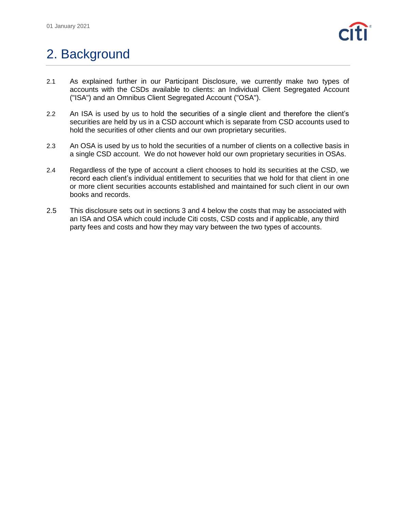

## 2. Background

- 2.1 As explained further in our Participant Disclosure, we currently make two types of accounts with the CSDs available to clients: an Individual Client Segregated Account ("ISA") and an Omnibus Client Segregated Account ("OSA").
- 2.2 An ISA is used by us to hold the securities of a single client and therefore the client's securities are held by us in a CSD account which is separate from CSD accounts used to hold the securities of other clients and our own proprietary securities.
- 2.3 An OSA is used by us to hold the securities of a number of clients on a collective basis in a single CSD account. We do not however hold our own proprietary securities in OSAs.
- 2.4 Regardless of the type of account a client chooses to hold its securities at the CSD, we record each client's individual entitlement to securities that we hold for that client in one or more client securities accounts established and maintained for such client in our own books and records.
- 2.5 This disclosure sets out in sections 3 and 4 below the costs that may be associated with an ISA and OSA which could include Citi costs, CSD costs and if applicable, any third party fees and costs and how they may vary between the two types of accounts.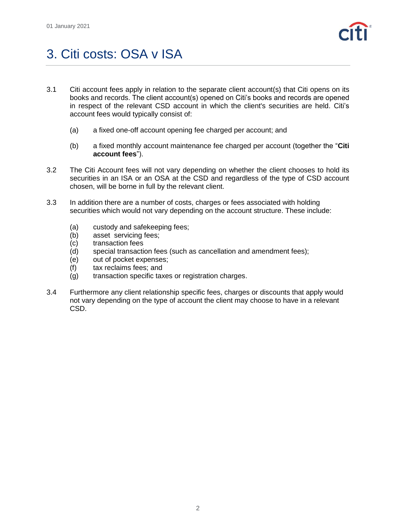

## 3. Citi costs: OSA v ISA

- 3.1 Citi account fees apply in relation to the separate client account(s) that Citi opens on its books and records. The client account(s) opened on Citi's books and records are opened in respect of the relevant CSD account in which the client's securities are held. Citi's account fees would typically consist of:
	- (a) a fixed one-off account opening fee charged per account; and
	- (b) a fixed monthly account maintenance fee charged per account (together the "**Citi account fees**").
- 3.2 The Citi Account fees will not vary depending on whether the client chooses to hold its securities in an ISA or an OSA at the CSD and regardless of the type of CSD account chosen, will be borne in full by the relevant client.
- 3.3 In addition there are a number of costs, charges or fees associated with holding securities which would not vary depending on the account structure. These include:
	- (a) custody and safekeeping fees;
	- (b) asset servicing fees;
	- (c) transaction fees
	- (d) special transaction fees (such as cancellation and amendment fees);
	- (e) out of pocket expenses;
	- (f) tax reclaims fees; and
	- (g) transaction specific taxes or registration charges.
- 3.4 Furthermore any client relationship specific fees, charges or discounts that apply would not vary depending on the type of account the client may choose to have in a relevant CSD.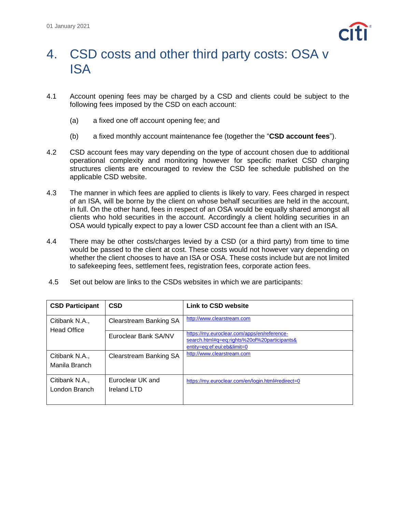

#### 4. CSD costs and other third party costs: OSA v ISA

- 4.1 Account opening fees may be charged by a CSD and clients could be subject to the following fees imposed by the CSD on each account:
	- (a) a fixed one off account opening fee; and
	- (b) a fixed monthly account maintenance fee (together the "**CSD account fees**").
- 4.2 CSD account fees may vary depending on the type of account chosen due to additional operational complexity and monitoring however for specific market CSD charging structures clients are encouraged to review the CSD fee schedule published on the applicable CSD website.
- 4.3 The manner in which fees are applied to clients is likely to vary. Fees charged in respect of an ISA, will be borne by the client on whose behalf securities are held in the account, in full. On the other hand, fees in respect of an OSA would be equally shared amongst all clients who hold securities in the account. Accordingly a client holding securities in an OSA would typically expect to pay a lower CSD account fee than a client with an ISA.
- 4.4 There may be other costs/charges levied by a CSD (or a third party) from time to time would be passed to the client at cost. These costs would not however vary depending on whether the client chooses to have an ISA or OSA. These costs include but are not limited to safekeeping fees, settlement fees, registration fees, corporate action fees.
- 4.5 Set out below are links to the CSDs websites in which we are participants:

| <b>CSD Participant</b>               | <b>CSD</b>                      | <b>Link to CSD website</b>                                                                                                 |
|--------------------------------------|---------------------------------|----------------------------------------------------------------------------------------------------------------------------|
| Citibank N.A.,<br><b>Head Office</b> | <b>Clearstream Banking SA</b>   | http://www.clearstream.com                                                                                                 |
|                                      | Euroclear Bank SA/NV            | https://my.euroclear.com/apps/en/reference-<br>search.html#q=eq:rights%20of%20participants&<br>entity=eq:ef:eui:eb&limit=0 |
| Citibank N.A.,<br>Manila Branch      | <b>Clearstream Banking SA</b>   | http://www.clearstream.com                                                                                                 |
| Citibank N.A.,<br>London Branch      | Euroclear UK and<br>Ireland LTD | https://my.euroclear.com/en/login.html#redirect=0                                                                          |